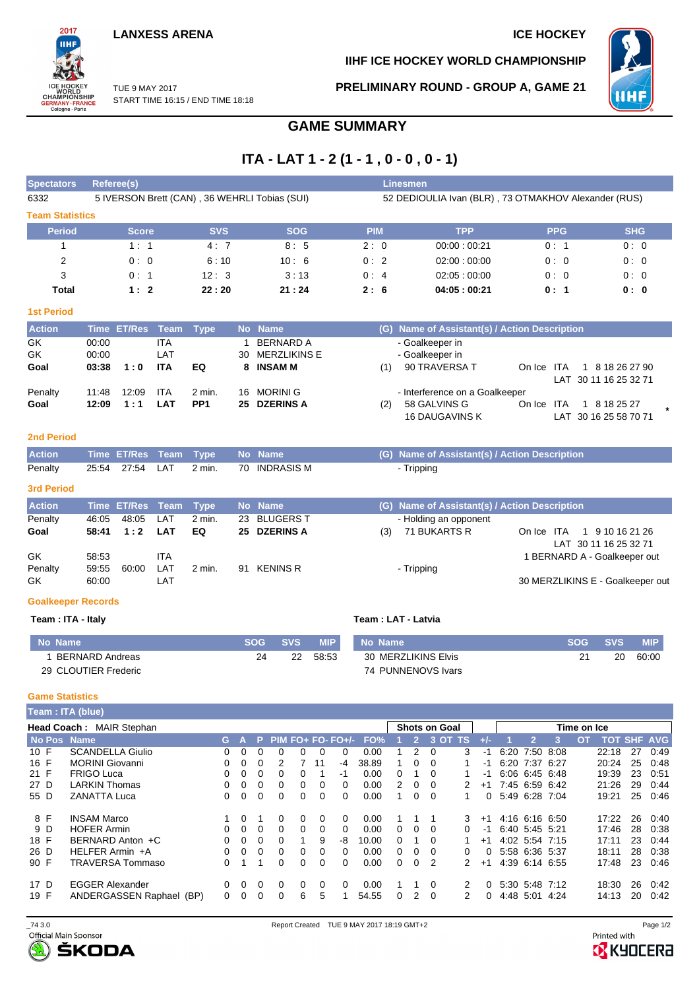

**IIHF ICE HOCKEY WORLD CHAMPIONSHIP**

**PRELIMINARY ROUND - GROUP A, GAME 21**

инғ

TUE 9 MAY 2017 START TIME 16:15 / END TIME 18:18

**GAME SUMMARY**

## **ITA - LAT 1 - 2 (1 - 1 , 0 - 0 , 0 - 1)**

| <b>Spectators</b>         |             | Referee(s)         |             |                 |    |                                               |            |            |          | Linesmen                                             |                                  |            |                                          |            |
|---------------------------|-------------|--------------------|-------------|-----------------|----|-----------------------------------------------|------------|------------|----------|------------------------------------------------------|----------------------------------|------------|------------------------------------------|------------|
| 6332                      |             |                    |             |                 |    | 5 IVERSON Brett (CAN), 36 WEHRLI Tobias (SUI) |            |            |          | 52 DEDIOULIA Ivan (BLR), 73 OTMAKHOV Alexander (RUS) |                                  |            |                                          |            |
| <b>Team Statistics</b>    |             |                    |             |                 |    |                                               |            |            |          |                                                      |                                  |            |                                          |            |
| <b>Period</b>             |             | <b>Score</b>       |             | <b>SVS</b>      |    | <b>SOG</b>                                    |            | <b>PIM</b> |          | <b>TPP</b>                                           | <b>PPG</b>                       |            |                                          | <b>SHG</b> |
| 1                         |             | 1:1                |             | 4:7             |    | 8:5                                           |            | 2:0        |          | 00:00:00:21                                          | 0:1                              |            |                                          | 0:0        |
| 2                         |             | 0:0                |             | 6:10            |    | 10:6                                          |            | 0:2        |          | 02:00:00:00                                          | 0:0                              |            |                                          | 0:0        |
| 3                         |             | 0:1                |             | 12:3            |    | 3:13                                          |            | 0:4        |          | 02:05:00:00                                          | 0:0                              |            |                                          | 0:0        |
| Total                     |             | 1:2                |             | 22:20           |    | 21:24                                         |            | 2:6        |          | 04:05:00:21                                          | 0:1                              |            |                                          | 0: 0       |
| <b>1st Period</b>         |             |                    |             |                 |    |                                               |            |            |          |                                                      |                                  |            |                                          |            |
| <b>Action</b>             |             | Time ET/Res        | Team        | <b>Type</b>     |    | No Name                                       |            |            |          | (G) Name of Assistant(s) / Action Description        |                                  |            |                                          |            |
| <b>GK</b>                 | 00:00       |                    | <b>ITA</b>  |                 |    | <b>BERNARD A</b>                              |            |            |          | - Goalkeeper in                                      |                                  |            |                                          |            |
| <b>GK</b>                 | 00:00       |                    | LAT         |                 | 30 | <b>MERZLIKINS E</b>                           |            |            |          | - Goalkeeper in                                      |                                  |            |                                          |            |
| Goal                      | 03:38       | 1:0                | <b>ITA</b>  | EQ              | 8  | <b>INSAM M</b>                                |            |            | (1)      | 90 TRAVERSA T                                        | On Ice ITA                       |            | 1 8 18 26 27 90<br>LAT 30 11 16 25 32 71 |            |
| Penalty                   | 11:48       | 12:09              | <b>ITA</b>  | 2 min.          | 16 | <b>MORINI G</b>                               |            |            |          | - Interference on a Goalkeeper                       |                                  |            |                                          |            |
| Goal                      | 12:09       | 1:1                | <b>LAT</b>  | PP <sub>1</sub> | 25 | <b>DZERINS A</b>                              |            |            | (2)      | 58 GALVINS G<br><b>16 DAUGAVINS K</b>                | On Ice<br><b>ITA</b>             |            | 1 8 18 25 27<br>LAT 30 16 25 58 70 71    |            |
| <b>2nd Period</b>         |             |                    |             |                 |    |                                               |            |            |          |                                                      |                                  |            |                                          |            |
| <b>Action</b>             | <b>Time</b> | <b>ET/Res</b>      | <b>Team</b> | <b>Type</b>     | No | <b>Name</b>                                   |            |            |          | (G) Name of Assistant(s) / Action Description        |                                  |            |                                          |            |
| Penalty                   | 25:54       | 27:54              | LAT         | $2$ min.        | 70 | <b>INDRASIS M</b>                             |            |            |          | - Tripping                                           |                                  |            |                                          |            |
| <b>3rd Period</b>         |             |                    |             |                 |    |                                               |            |            |          |                                                      |                                  |            |                                          |            |
| <b>Action</b>             |             | <b>Time ET/Res</b> | Team        | <b>Type</b>     |    | No Name                                       |            |            |          | (G) Name of Assistant(s) / Action Description        |                                  |            |                                          |            |
| Penalty                   | 46:05       | 48:05              | LAT         | 2 min.          | 23 | <b>BLUGERS T</b>                              |            |            |          | - Holding an opponent                                |                                  |            |                                          |            |
| Goal                      | 58:41       | 1:2                | <b>LAT</b>  | EQ              | 25 | <b>DZERINS A</b>                              |            |            | (3)      | 71 BUKARTS R                                         | On Ice ITA                       |            | 1 9 10 16 21 26<br>LAT 30 11 16 25 32 71 |            |
| GK                        | 58:53       |                    | <b>ITA</b>  |                 |    |                                               |            |            |          |                                                      | 1 BERNARD A - Goalkeeper out     |            |                                          |            |
| Penalty                   | 59:55       | 60:00              | LAT         | $2$ min.        | 91 | <b>KENINS R</b>                               |            |            |          | - Tripping                                           |                                  |            |                                          |            |
| GK                        | 60:00       |                    | LAT         |                 |    |                                               |            |            |          |                                                      | 30 MERZLIKINS E - Goalkeeper out |            |                                          |            |
| <b>Goalkeeper Records</b> |             |                    |             |                 |    |                                               |            |            |          |                                                      |                                  |            |                                          |            |
| Team: ITA - Italy         |             |                    |             |                 |    |                                               |            |            |          | Team: LAT - Latvia                                   |                                  |            |                                          |            |
| No. Namo                  |             |                    |             |                 |    | <b>SOC</b><br>eve.                            | <b>MID</b> |            | No. Namo |                                                      |                                  | <b>SOC</b> | <b>CVC</b>                               | <b>MID</b> |

| No Name              | SOG. | <b>SVS</b> | MIP.  | No Name             | <b>SOG</b> | <b>SVS</b> | <b>MIP</b> |
|----------------------|------|------------|-------|---------------------|------------|------------|------------|
| BERNARD Andreas      |      | 22         | 58:53 | 30 MERZLIKINS Elvis |            | 20         | 60:00      |
| 29 CLOUTIER Frederic |      |            |       | 74 PUNNENOVS Ivars  |            |            |            |

## **Game Statistics**

|      | Team: ITA (blue) |                          |          |          |          |              |   |    |                   |       |   |          |                      |               |      |      |                |      |             |                    |    |      |
|------|------------------|--------------------------|----------|----------|----------|--------------|---|----|-------------------|-------|---|----------|----------------------|---------------|------|------|----------------|------|-------------|--------------------|----|------|
|      |                  | Head Coach: MAIR Stephan |          |          |          |              |   |    |                   |       |   |          | <b>Shots on Goal</b> |               |      |      |                |      | Time on Ice |                    |    |      |
|      | No Pos           | <b>Name</b>              | G.       |          | P.       |              |   |    | $PIM FO+FO-FO+/-$ | FO%   |   |          | 3 <sub>OT</sub>      | TS.           |      |      |                |      | OΤ          | <b>TOT SHF AVG</b> |    |      |
| 10 F |                  | <b>SCANDELLA Giulio</b>  | 0        | 0        |          |              |   | 0  |                   | 0.00  |   | 2        |                      | 3             | -1   | 6:20 | 7:50           | 8:08 |             | 22:18              | 27 | 0:49 |
| 16 F |                  | <b>MORINI Giovanni</b>   | 0        | 0        | 0        |              |   | 11 | -4                | 38.89 |   | 0        | 0                    |               | -1   |      | 6:20 7:37 6:27 |      |             | 20:24              | 25 | 0:48 |
| 21 F |                  | <b>FRIGO Luca</b>        | 0        | 0        | 0        |              |   |    | -1                | 0.00  | 0 |          | 0                    |               | -1   |      | 6:06 6:45 6:48 |      |             | 19:39              | 23 | 0:51 |
| 27 D |                  | <b>LARKIN Thomas</b>     | 0        | 0        | $\Omega$ |              | 0 | 0  | $\Omega$          | 0.00  |   | 0        | 0                    |               | $+1$ |      | 7:45 6:59 6:42 |      |             | 21:26              | 29 | 0:44 |
| 55 D |                  | <b>ZANATTA Luca</b>      | 0        | 0        | 0        | <sup>0</sup> | 0 | 0  | $\Omega$          | 0.00  |   | 0        | 0                    |               | 0    |      | 5:49 6:28 7:04 |      |             | 19:21              | 25 | 0:46 |
|      | 8 F              | <b>INSAM Marco</b>       |          | 0        |          | 0            | 0 | 0  | $\Omega$          | 0.00  |   |          |                      | 3             | $+1$ |      | 4:16 6:16 6:50 |      |             | 17:22              | 26 | 0:40 |
|      | 9 D              | <b>HOFER Armin</b>       | 0        | $\Omega$ | $\Omega$ | 0            | 0 | 0  | $\Omega$          | 0.00  | 0 | $\Omega$ | $\Omega$             | <sup>n</sup>  | -1   |      | 6:40 5:45 5:21 |      |             | 17:46              | 28 | 0:38 |
| 18 F |                  | BERNARD Anton +C         | $\Omega$ | $\Omega$ | 0        |              |   | 9  | -8                | 10.00 | 0 |          | 0                    |               | $+1$ |      | 4:02 5:54 7:15 |      |             | 17:11              | 23 | 0.44 |
| 26 D |                  | HELFER Armin +A          | 0        | 0        | 0        | 0            | 0 | 0  | $\Omega$          | 0.00  | 0 | $\Omega$ | 0                    | 0             | 0    |      | 5:58 6:36 5:37 |      |             | 18:11              | 28 | 0:38 |
| 90 F |                  | <b>TRAVERSA Tommaso</b>  | 0        |          |          |              | 0 | 0  | $\Omega$          | 0.00  | 0 | 0        | 2                    | $\mathcal{P}$ | $+1$ |      | 4:39 6:14 6:55 |      |             | 17:48              | 23 | 0:46 |
| 17 D |                  | <b>EGGER Alexander</b>   | 0        | 0        | 0        | 0            | 0 | 0  | $\Omega$          | 0.00  |   |          | 0                    |               | 0    |      | 5:30 5:48 7:12 |      |             | 18:30              | 26 | 0.42 |
| 19 F |                  | ANDERGASSEN Raphael (BP) | 0        | 0        | 0        | 0            | 6 | 5  |                   | 54.55 | 0 | 2        | $\Omega$             | 2             | 0    |      | 4:48 5:01      | 4:24 |             | 14:13              | 20 | 0:42 |